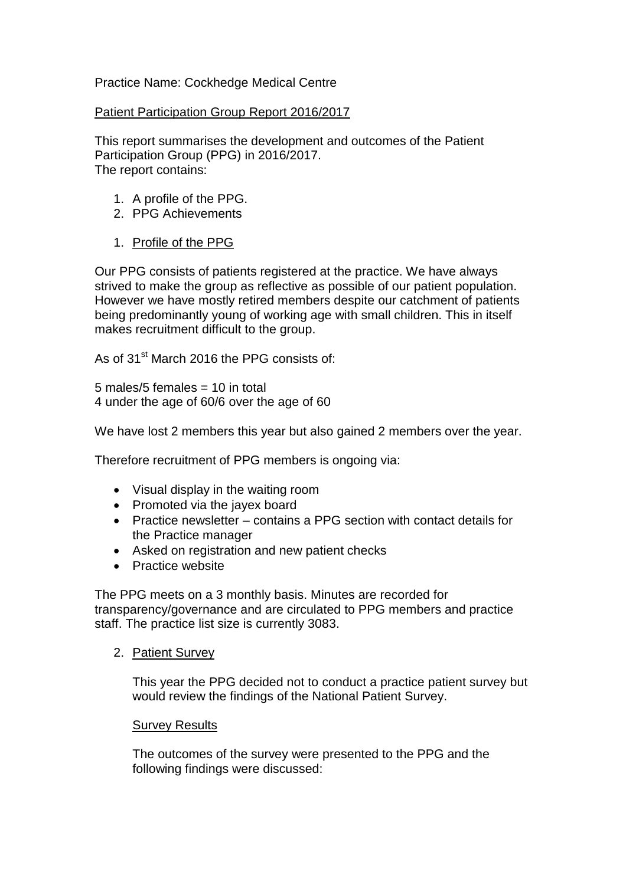# Practice Name: Cockhedge Medical Centre

### Patient Participation Group Report 2016/2017

This report summarises the development and outcomes of the Patient Participation Group (PPG) in 2016/2017. The report contains:

- 1. A profile of the PPG.
- 2. PPG Achievements
- 1. Profile of the PPG

Our PPG consists of patients registered at the practice. We have always strived to make the group as reflective as possible of our patient population. However we have mostly retired members despite our catchment of patients being predominantly young of working age with small children. This in itself makes recruitment difficult to the group.

As of 31<sup>st</sup> March 2016 the PPG consists of:

5 males/5 females  $= 10$  in total 4 under the age of 60/6 over the age of 60

We have lost 2 members this year but also gained 2 members over the year.

Therefore recruitment of PPG members is ongoing via:

- Visual display in the waiting room
- Promoted via the jayex board
- Practice newsletter contains a PPG section with contact details for the Practice manager
- Asked on registration and new patient checks
- Practice website

The PPG meets on a 3 monthly basis. Minutes are recorded for transparency/governance and are circulated to PPG members and practice staff. The practice list size is currently 3083.

2. Patient Survey

This year the PPG decided not to conduct a practice patient survey but would review the findings of the National Patient Survey.

## **Survey Results**

The outcomes of the survey were presented to the PPG and the following findings were discussed: